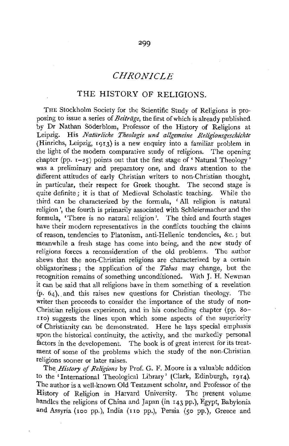## *CHRONICLE*

## THE HISTORY OF RELIGIONS.

THE Stockholm Society for the Scientific Study of Religions is proposing to issue a series of *Beitrage,* the first of which is already published by Dr Nathan Soderblom, Professor of the History of Religions at Leipzig. His *Natiirliche Theologie und allgemeine Religionsgeschichte*  (Hinrichs, Leipzig, 1913) is a new enquiry into a familiar problem in the light of the modern comparative study of religions. The opening chapter (pp.  $r-25$ ) points out that the first stage of 'Natural Theology' was a preliminary and preparatory one, and draws attention to the different attitudes of early Christian writers to non-Christian thought, in particular, their respect for Greek thought. The second stage is quite definite; it is that of Medieval Scholastic teaching. While the third can be characterized by the formula, ' All religion is natural religion', the fourth is primarily associated with Schleiermacher and the formula, 'There is no natural religion'. The third and fourth stages have their modern representatives in the conflicts touching the claims of reason, tendencies to Platonism, anti-Hellenic tendencies, &c. ; but meanwhile a fresh stage has come into being, and the new study of religions forces a reconsideration of the old problems. The author shews that the non-Christian religions are characterized by a certain obligatoriness ; the application of the *Tabus* may change, but the recognition remains of something unconditioned. With J. H. Newman it can be said that all religions have in them something of a revelation (p. 64),. and this raises new questions for Christian theology. The writer then proceeds to consider the importance of the study of non-Christian religious experience, and in his concluding chapter (pp. 80 rro) suggests the lines upon which some aspects of the superiority of Christianity can be demonstrated. Here he lays special emphasis upon the historical continuity, the activity, and the markedly personal factors in the developement. The book is of great interest for its treatment of some of the problems which the study of the non-Christian religions sooner or later raises.

The *History of Religions* by Prof. G. F. Moore is a valuable addition to the 'International Theological Library' (Clark, Edinburgh, 19r4). The author is a well-known Old Testament scholar, and Professor of the History of Religion in Harvard University. The present volume handles the religions of China and Japan (in 143 pp.), Egypt, Babylonia and Assyria (100 pp.), India (no pp.), Persia (50 pp.), Greece and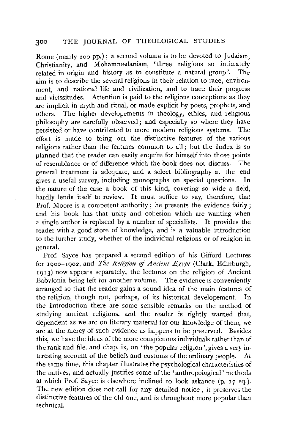## 300 THE JOURNAL OF THEOLOGICAL STUDIES

Rome (nearly 200 pp.); a second volume is to be devoted to Judaism, Christianity, and Mohammedanism, 'three religions so intimately related in origin and history as to constitute a natural group'. The aim is to describe the several religions in their relation to race, environment, and national life and civilization, and to trace their progress and vicissitudes. Attention is paid to the religious conceptions as they are implicit in myth and ritual, or made explicit by poets, prophets, and others. The higher developements in theology, ethics, and religious philosophy are carefully observed; and especially so where they have persisted or have contributed to more modern religious systems. The effort is made to bring out the distinctive features of the various religions rather than the features common to all; but the Index is so planned that the reader can easily enquire for himself into those points of resemblance or of difference which the book does not discuss. The general treatment is adequate, and a select bibliography at the end gives a useful survey, including monographs on special questions. In the nature of the case a book of this kind, covering so wide a field, hardly lends itself to review. It must suffice to say, therefore, that Prof. Moore is a competent authority; he presents the evidence fairly ; and his book has that unity and cohesion which are wanting when a single author is replaced by a number of specialists. It provides the reader with a good store of knowledge, and is a valuable introduction to the further study, whether of the individual religions or of religion in general.

Prof. Sayce has prepared a second edition of his Gifford Lectures for 1900-1902, and *The Religion of Ancient Egypt* (Clark, Edinburgh, 1913) now appears separately, the lectures on the religion of Ancient Babylonia being left for another volume. The evidence is conveniently arranged so that the reader gains a sound idea of the main features of the religion, though not, perhaps, of its historical developement. In the Introduction there are some sensible remarks on the method of studying ancient religions, and the reader is rightly warned that, dependent as we are on literary material for our knowledge of them, we are at the mercy of such evidence as happens to be preserved. Besides this, we have the ideas of the more conspicuous individuals rather than of the rank and file, and chap. ix, on 'the popular religion', gives a very interesting account of the beliefs and customs of the ordinary people. At the same time, this chapter illustrates the psychological characteristics of the natives, and actually justifies some of the 'anthropological' methods at which Prof. Sayce is elsewhere inclined to look askance (p. **17** sq.). The new edition does not call for any detailed notice; it preserves the distinctive features of the old one, and is throughout more popular than technical.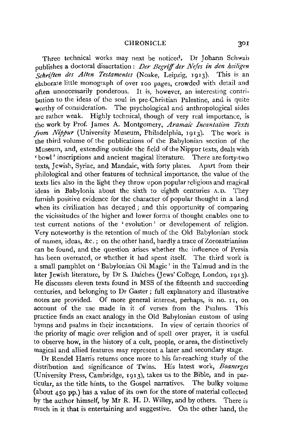Three technical works may next be noticed. Dr Johann Schwab publishes a doctoral dissertation : *Der Begrijf der Nejes in den hei!igen Schri/ten des Allen Testamentes* (Noske, Leipzig, 1913). This is an elaborate little monograph of over roo pages, crowded with detail and often unnecessarily ponderous. It is, however, an interesting contribution to the ideas of the soul in pre-Christian Palestine, and is quite worthy of consideration. The psychological and anthropological sides are rather weak. Highly technical, though of very real importance, is the work by Prof. James A. Montgomery, *Aramaic Incantation Texts from Nippur* (University Museum, Philadelphia, 1913). The work is the third volume of the publications of the Babylonian section of the Museum, and, extending outside the field of the Nippur texts, deals with 'bowl' inscriptions and ancient magical literature. There are forty-two texts, Jewish, Syriac, and Mandaic, with forty plates. Apart from their philological and other features of technical importance, the value of the texts lies also in the light they throw upon popular religious and magical ideas in Babylonia about the sixth to eighth centuries A.D. They furnish positive evidence for the character of popular thought in a land when its civilization has decayed; and this opportunity of comparing the vicissitudes of the higher and lower forms of thought enables one to test current notions of the ' evolution' or developement of religion. Very noteworthy is the retention of much of the Old Babylonian stock of names, ideas, &c.; on the other hand, hardly a trace of Zoroastrianism can be found, and the question arises whether the influence of Persia has been overrated, or whether it had spent itself. The third work is a small pamphlet on 'Babylonian Oil Magic' in the Talmud and in the later Jewish literature, by Dr S. Daiches (Jews' College, London, 1913). He discusses eleven texts found in MSS of the fifteenth and succeeding centuries, and belonging to Dr Gaster; full explanatory and illustrative notes are provided. Of more general interest, perhaps, is no. 11, on account of the use made in it of verses from the Psalms. This practice finds an exact analogy in the Old Babylonian custom of using hymns and psalms in their incantations. In view of certain theories of the priority of magic over religion and of spell over prayer, it is useful to observe how, in the history of a cult, people, or area, the distinctively magical and allied features may represent a later and secondary stage.

Dr Rendel Harris returns once more to his far-reaching study of the distribution and significance of Twins. His latest work, *Boanerges*  (University Press, Cambridge, 1913), takes us to the Bible, and in particular, as the title hints, to the Gospel narratives. The bulky volume {about 450 pp.) has a value of its own for the store of material collected by the author himself, by Mr R. H. D. Willey, and by others. There is much in it that is entertaining and suggestive. On the other hand, the